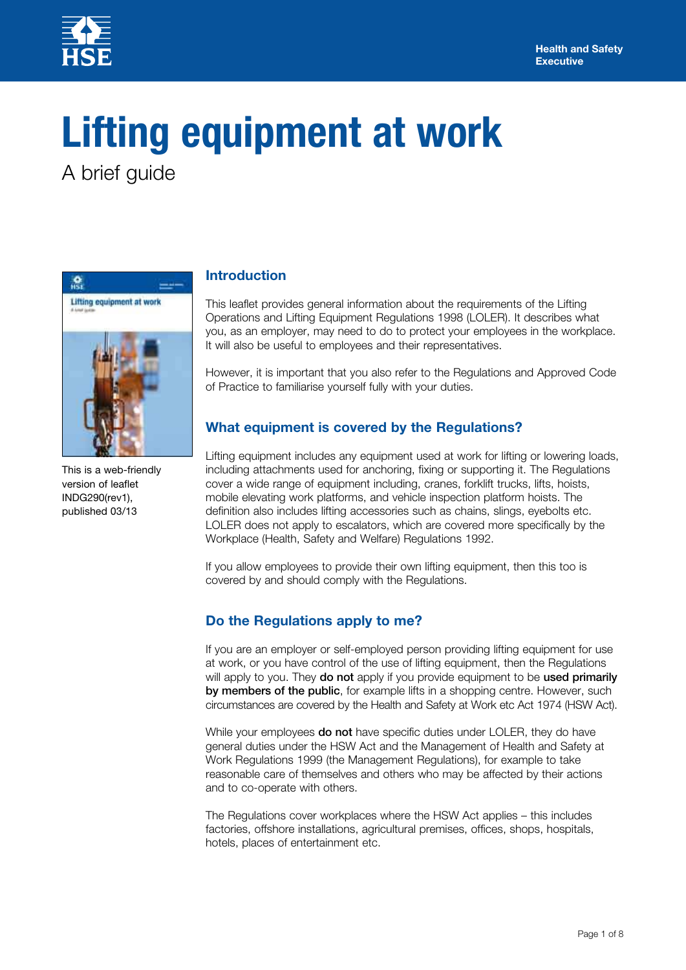

# **Lifting equipment at work**

A brief guide



This is a web-friendly version of leaflet INDG290(rev1), published 03/13

## **Introduction**

This leaflet provides general information about the requirements of the Lifting Operations and Lifting Equipment Regulations 1998 (LOLER). It describes what you, as an employer, may need to do to protect your employees in the workplace. It will also be useful to employees and their representatives.

However, it is important that you also refer to the Regulations and Approved Code of Practice to familiarise yourself fully with your duties.

# **What equipment is covered by the Regulations?**

Lifting equipment includes any equipment used at work for lifting or lowering loads, including attachments used for anchoring, fixing or supporting it. The Regulations cover a wide range of equipment including, cranes, forklift trucks, lifts, hoists, mobile elevating work platforms, and vehicle inspection platform hoists. The definition also includes lifting accessories such as chains, slings, eyebolts etc. LOLER does not apply to escalators, which are covered more specifically by the Workplace (Health, Safety and Welfare) Regulations 1992.

If you allow employees to provide their own lifting equipment, then this too is covered by and should comply with the Regulations.

# **Do the Regulations apply to me?**

If you are an employer or self-employed person providing lifting equipment for use at work, or you have control of the use of lifting equipment, then the Regulations will apply to you. They do not apply if you provide equipment to be used primarily by members of the public, for example lifts in a shopping centre. However, such circumstances are covered by the Health and Safety at Work etc Act 1974 (HSW Act).

While your employees do not have specific duties under LOLER, they do have general duties under the HSW Act and the Management of Health and Safety at Work Regulations 1999 (the Management Regulations), for example to take reasonable care of themselves and others who may be affected by their actions and to co-operate with others.

The Regulations cover workplaces where the HSW Act applies – this includes factories, offshore installations, agricultural premises, offices, shops, hospitals, hotels, places of entertainment etc.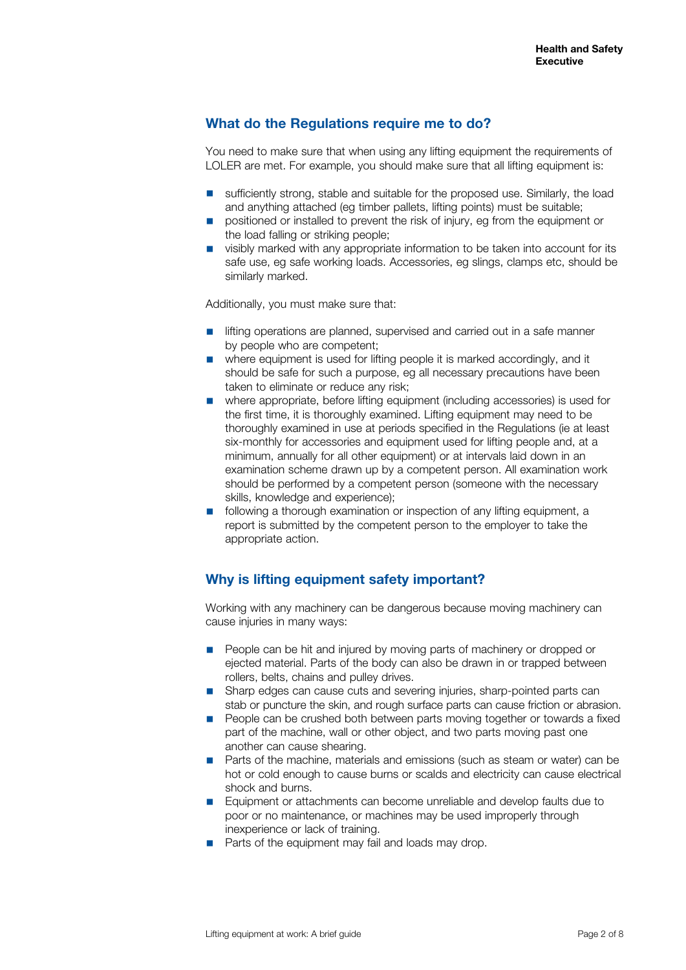# **What do the Regulations require me to do?**

You need to make sure that when using any lifting equipment the requirements of LOLER are met. For example, you should make sure that all lifting equipment is:

- sufficiently strong, stable and suitable for the proposed use. Similarly, the load and anything attached (eg timber pallets, lifting points) must be suitable;
- positioned or installed to prevent the risk of injury, eg from the equipment or the load falling or striking people;
- visibly marked with any appropriate information to be taken into account for its safe use, eg safe working loads. Accessories, eg slings, clamps etc, should be similarly marked.

Additionally, you must make sure that:

- lifting operations are planned, supervised and carried out in a safe manner by people who are competent;
- where equipment is used for lifting people it is marked accordingly, and it should be safe for such a purpose, eg all necessary precautions have been taken to eliminate or reduce any risk;
- where appropriate, before lifting equipment (including accessories) is used for the first time, it is thoroughly examined. Lifting equipment may need to be thoroughly examined in use at periods specified in the Regulations (ie at least six-monthly for accessories and equipment used for lifting people and, at a minimum, annually for all other equipment) or at intervals laid down in an examination scheme drawn up by a competent person. All examination work should be performed by a competent person (someone with the necessary skills, knowledge and experience);
- following a thorough examination or inspection of any lifting equipment, a report is submitted by the competent person to the employer to take the appropriate action.

# **Why is lifting equipment safety important?**

Working with any machinery can be dangerous because moving machinery can cause injuries in many ways:

- People can be hit and injured by moving parts of machinery or dropped or ejected material. Parts of the body can also be drawn in or trapped between rollers, belts, chains and pulley drives.
- Sharp edges can cause cuts and severing injuries, sharp-pointed parts can stab or puncture the skin, and rough surface parts can cause friction or abrasion.
- People can be crushed both between parts moving together or towards a fixed part of the machine, wall or other object, and two parts moving past one another can cause shearing.
- Parts of the machine, materials and emissions (such as steam or water) can be hot or cold enough to cause burns or scalds and electricity can cause electrical shock and burns.
- Equipment or attachments can become unreliable and develop faults due to poor or no maintenance, or machines may be used improperly through inexperience or lack of training.
- Parts of the equipment may fail and loads may drop.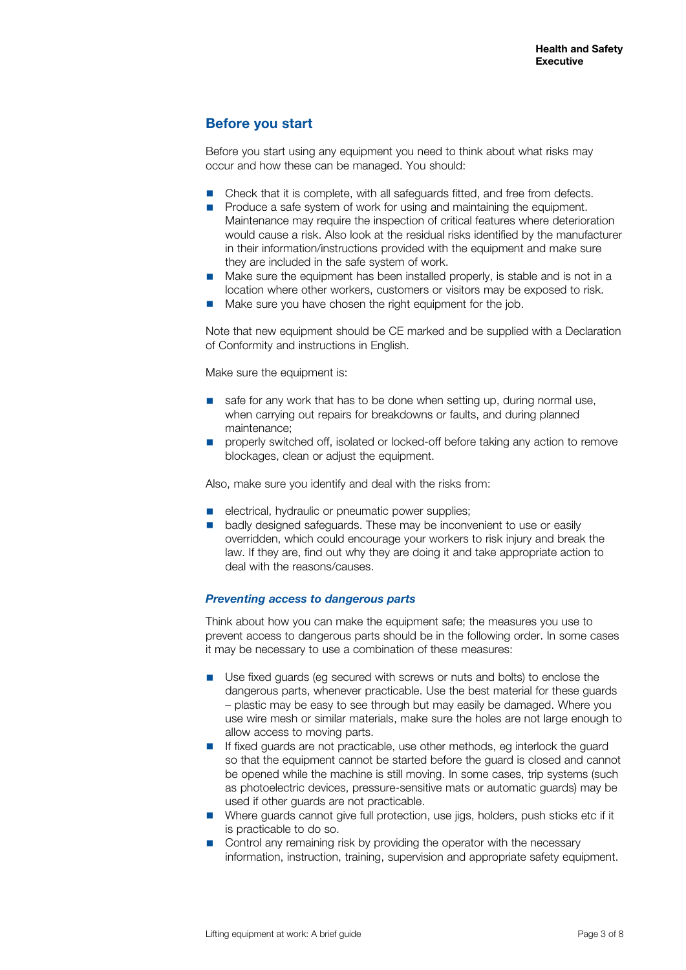# **Before you start**

Before you start using any equipment you need to think about what risks may occur and how these can be managed. You should:

- Check that it is complete, with all safeguards fitted, and free from defects.
- Produce a safe system of work for using and maintaining the equipment. Maintenance may require the inspection of critical features where deterioration would cause a risk. Also look at the residual risks identified by the manufacturer in their information/instructions provided with the equipment and make sure they are included in the safe system of work.
- Make sure the equipment has been installed properly, is stable and is not in a location where other workers, customers or visitors may be exposed to risk.
- Make sure you have chosen the right equipment for the job.

Note that new equipment should be CE marked and be supplied with a Declaration of Conformity and instructions in English.

Make sure the equipment is:

- safe for any work that has to be done when setting up, during normal use, when carrying out repairs for breakdowns or faults, and during planned maintenance;
- properly switched off, isolated or locked-off before taking any action to remove blockages, clean or adjust the equipment.

Also, make sure you identify and deal with the risks from:

- electrical, hydraulic or pneumatic power supplies;
- badly designed safeguards. These may be inconvenient to use or easily overridden, which could encourage your workers to risk injury and break the law. If they are, find out why they are doing it and take appropriate action to deal with the reasons/causes.

## *Preventing access to dangerous parts*

Think about how you can make the equipment safe; the measures you use to prevent access to dangerous parts should be in the following order. In some cases it may be necessary to use a combination of these measures:

- Use fixed guards (eg secured with screws or nuts and bolts) to enclose the dangerous parts, whenever practicable. Use the best material for these guards – plastic may be easy to see through but may easily be damaged. Where you use wire mesh or similar materials, make sure the holes are not large enough to allow access to moving parts.
- If fixed guards are not practicable, use other methods, eg interlock the guard so that the equipment cannot be started before the guard is closed and cannot be opened while the machine is still moving. In some cases, trip systems (such as photoelectric devices, pressure-sensitive mats or automatic guards) may be used if other guards are not practicable.
- Where guards cannot give full protection, use jigs, holders, push sticks etc if it is practicable to do so.
- Control any remaining risk by providing the operator with the necessary information, instruction, training, supervision and appropriate safety equipment.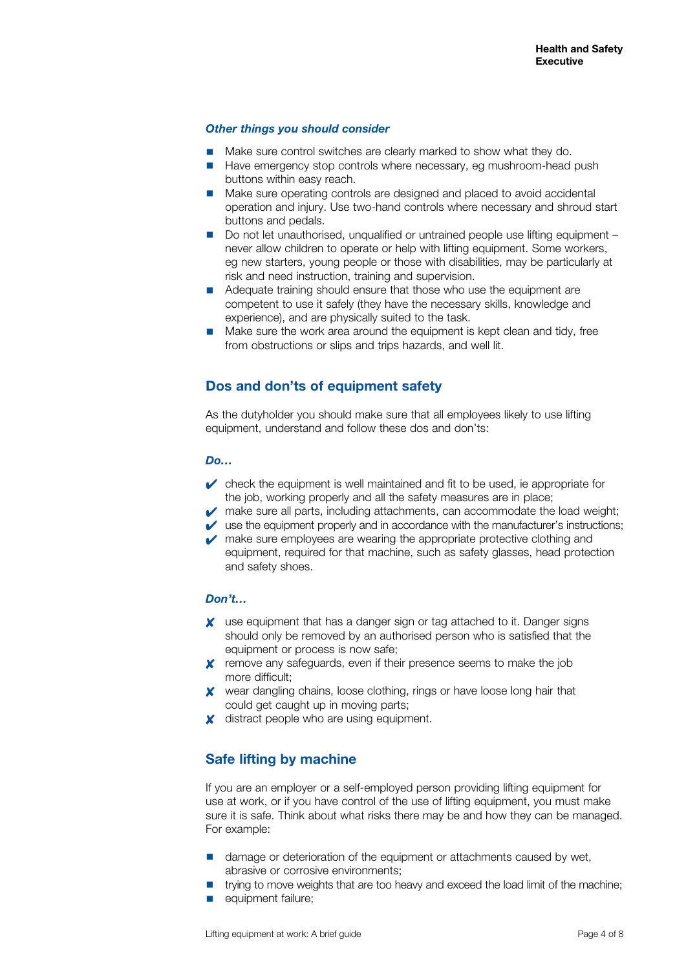## *Other things you should consider*

- Make sure control switches are clearly marked to show what they do.
- Have emergency stop controls where necessary, eg mushroom-head push buttons within easy reach.
- Make sure operating controls are designed and placed to avoid accidental operation and injury. Use two-hand controls where necessary and shroud start buttons and pedals.
- Do not let unauthorised, unqualified or untrained people use lifting equipment never allow children to operate or help with lifting equipment. Some workers, eg new starters, young people or those with disabilities, may be particularly at risk and need instruction, training and supervision.
- Adequate training should ensure that those who use the equipment are competent to use it safely (they have the necessary skills, knowledge and experience), and are physically suited to the task.
- Make sure the work area around the equipment is kept clean and tidy, free from obstructions or slips and trips hazards, and well lit.

## **Dos and don'ts of equipment safety**

As the dutyholder you should make sure that all employees likely to use lifting equipment, understand and follow these dos and don'ts:

#### *Do…*

- $\triangleright$  check the equipment is well maintained and fit to be used, ie appropriate for the job, working properly and all the safety measures are in place;
- $\triangleright$  make sure all parts, including attachments, can accommodate the load weight;
- $\triangleright$  use the equipment properly and in accordance with the manufacturer's instructions;
- $\triangleright$  make sure employees are wearing the appropriate protective clothing and equipment, required for that machine, such as safety glasses, head protection and safety shoes.

#### *Don't…*

- ✘ use equipment that has a danger sign or tag attached to it. Danger signs should only be removed by an authorised person who is satisfied that the equipment or process is now safe;
- ✘ remove any safeguards, even if their presence seems to make the job more difficult;
- ✘ wear dangling chains, loose clothing, rings or have loose long hair that could get caught up in moving parts;
- $\times$  distract people who are using equipment.

## **Safe lifting by machine**

If you are an employer or a self-employed person providing lifting equipment for use at work, or if you have control of the use of lifting equipment, you must make sure it is safe. Think about what risks there may be and how they can be managed. For example:

- damage or deterioration of the equipment or attachments caused by wet, abrasive or corrosive environments;
- trying to move weights that are too heavy and exceed the load limit of the machine;
- equipment failure;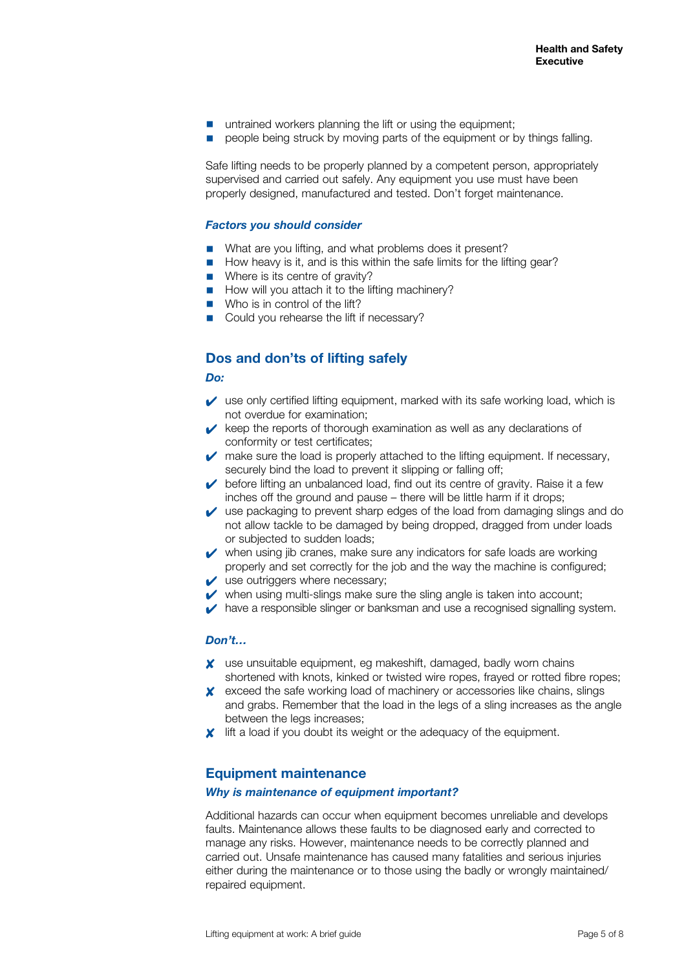- untrained workers planning the lift or using the equipment:
- people being struck by moving parts of the equipment or by things falling.

Safe lifting needs to be properly planned by a competent person, appropriately supervised and carried out safely. Any equipment you use must have been properly designed, manufactured and tested. Don't forget maintenance.

## *Factors you should consider*

- What are you lifting, and what problems does it present?
- How heavy is it, and is this within the safe limits for the lifting gear?
- Where is its centre of gravity?
- How will you attach it to the lifting machinery?
- Who is in control of the lift?
- Could you rehearse the lift if necessary?

## **Dos and don'ts of lifting safely**

#### *Do:*

- $\triangleright$  use only certified lifting equipment, marked with its safe working load, which is not overdue for examination;
- $\triangleright$  keep the reports of thorough examination as well as any declarations of conformity or test certificates;
- $\triangleright$  make sure the load is properly attached to the lifting equipment. If necessary, securely bind the load to prevent it slipping or falling off;
- $\triangleright$  before lifting an unbalanced load, find out its centre of gravity. Raise it a few inches off the ground and pause – there will be little harm if it drops;
- $\vee$  use packaging to prevent sharp edges of the load from damaging slings and do not allow tackle to be damaged by being dropped, dragged from under loads or subjected to sudden loads;
- $\vee$  when using jib cranes, make sure any indicators for safe loads are working properly and set correctly for the job and the way the machine is configured;
- $\vee$  use outriggers where necessary;
- $\triangleright$  when using multi-slings make sure the sling angle is taken into account;
- ◆ have a responsible slinger or banksman and use a recognised signalling system.

#### *Don't…*

- ✘ use unsuitable equipment, eg makeshift, damaged, badly worn chains shortened with knots, kinked or twisted wire ropes, frayed or rotted fibre ropes;
- ✘ exceed the safe working load of machinery or accessories like chains, slings and grabs. Remember that the load in the legs of a sling increases as the angle between the legs increases;
- ✘ lift a load if you doubt its weight or the adequacy of the equipment.

## **Equipment maintenance**

#### *Why is maintenance of equipment important?*

Additional hazards can occur when equipment becomes unreliable and develops faults. Maintenance allows these faults to be diagnosed early and corrected to manage any risks. However, maintenance needs to be correctly planned and carried out. Unsafe maintenance has caused many fatalities and serious injuries either during the maintenance or to those using the badly or wrongly maintained/ repaired equipment.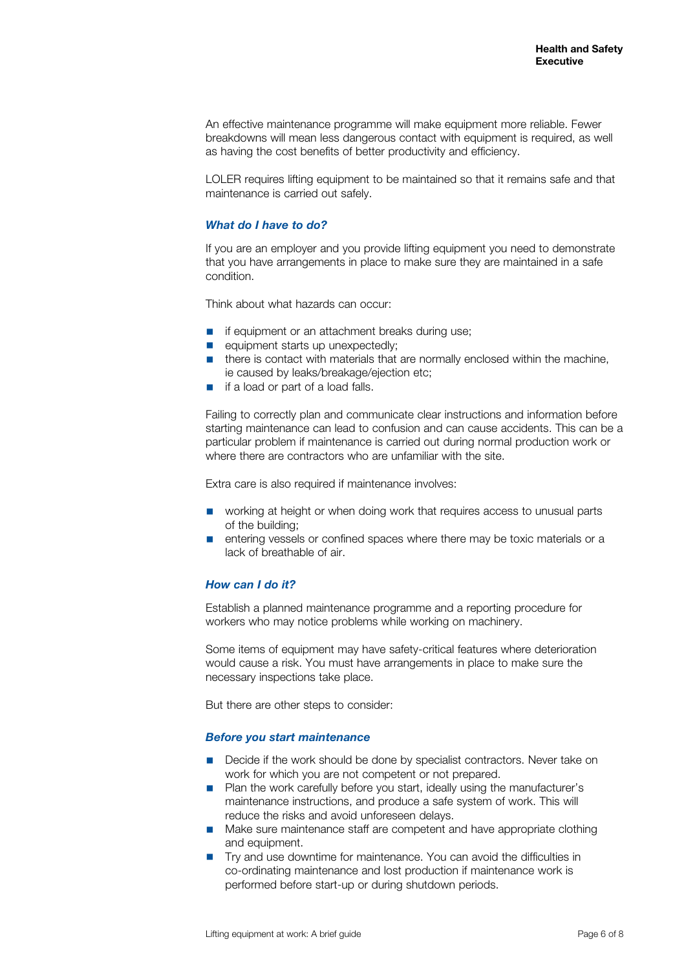An effective maintenance programme will make equipment more reliable. Fewer breakdowns will mean less dangerous contact with equipment is required, as well as having the cost benefits of better productivity and efficiency.

LOLER requires lifting equipment to be maintained so that it remains safe and that maintenance is carried out safely.

## *What do I have to do?*

If you are an employer and you provide lifting equipment you need to demonstrate that you have arrangements in place to make sure they are maintained in a safe condition.

Think about what hazards can occur:

- if equipment or an attachment breaks during use;
- equipment starts up unexpectedly;
- there is contact with materials that are normally enclosed within the machine, ie caused by leaks/breakage/ejection etc;
- if a load or part of a load falls.

Failing to correctly plan and communicate clear instructions and information before starting maintenance can lead to confusion and can cause accidents. This can be a particular problem if maintenance is carried out during normal production work or where there are contractors who are unfamiliar with the site.

Extra care is also required if maintenance involves:

- working at height or when doing work that requires access to unusual parts of the building;
- entering vessels or confined spaces where there may be toxic materials or a lack of breathable of air.

#### *How can I do it?*

Establish a planned maintenance programme and a reporting procedure for workers who may notice problems while working on machinery.

Some items of equipment may have safety-critical features where deterioration would cause a risk. You must have arrangements in place to make sure the necessary inspections take place.

But there are other steps to consider:

#### *Before you start maintenance*

- Decide if the work should be done by specialist contractors. Never take on work for which you are not competent or not prepared.
- Plan the work carefully before you start, ideally using the manufacturer's maintenance instructions, and produce a safe system of work. This will reduce the risks and avoid unforeseen delays.
- Make sure maintenance staff are competent and have appropriate clothing and equipment.
- Try and use downtime for maintenance. You can avoid the difficulties in co-ordinating maintenance and lost production if maintenance work is performed before start-up or during shutdown periods.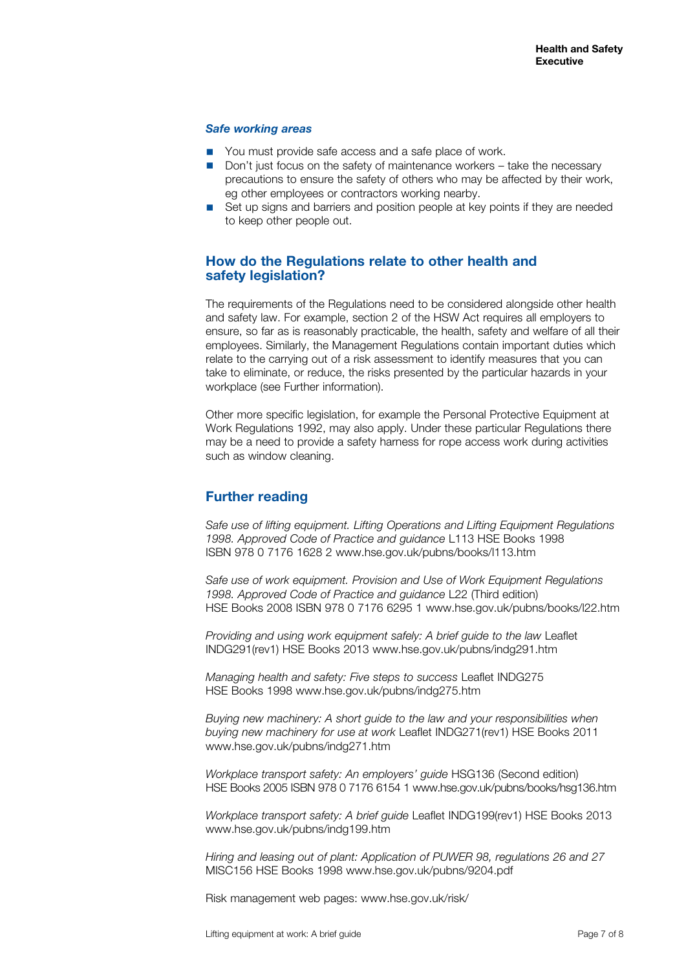#### *Safe working areas*

- You must provide safe access and a safe place of work.
- Don't just focus on the safety of maintenance workers take the necessary precautions to ensure the safety of others who may be affected by their work, eg other employees or contractors working nearby.
- Set up signs and barriers and position people at key points if they are needed to keep other people out.

## **How do the Regulations relate to other health and safety legislation?**

The requirements of the Regulations need to be considered alongside other health and safety law. For example, section 2 of the HSW Act requires all employers to ensure, so far as is reasonably practicable, the health, safety and welfare of all their employees. Similarly, the Management Regulations contain important duties which relate to the carrying out of a risk assessment to identify measures that you can take to eliminate, or reduce, the risks presented by the particular hazards in your workplace (see Further information).

Other more specific legislation, for example the Personal Protective Equipment at Work Regulations 1992, may also apply. Under these particular Regulations there may be a need to provide a safety harness for rope access work during activities such as window cleaning.

# **Further reading**

*Safe use of lifting equipment. Lifting Operations and Lifting Equipment Regulations 1998. Approved Code of Practice and guidance* L113 HSE Books 1998 ISBN 978 0 7176 1628 2 www.hse.gov.uk/pubns/books/l113.htm

*Safe use of work equipment. Provision and Use of Work Equipment Regulations 1998. Approved Code of Practice and guidance* L22 (Third edition) HSE Books 2008 ISBN 978 0 7176 6295 1 www.hse.gov.uk/pubns/books/l22.htm

*Providing and using work equipment safely: A brief guide to the law* Leaflet INDG291(rev1) HSE Books 2013 www.hse.gov.uk/pubns/indg291.htm

*Managing health and safety: Five steps to success* Leaflet INDG275 HSE Books 1998 www.hse.gov.uk/pubns/indg275.htm

*Buying new machinery: A short guide to the law and your responsibilities when buying new machinery for use at work* Leaflet INDG271(rev1) HSE Books 2011 www.hse.gov.uk/pubns/indg271.htm

*Workplace transport safety: An employers' guide* HSG136 (Second edition) HSE Books 2005 ISBN 978 0 7176 6154 1 www.hse.gov.uk/pubns/books/hsg136.htm

*Workplace transport safety: A brief guide* Leaflet INDG199(rev1) HSE Books 2013 www.hse.gov.uk/pubns/indg199.htm

*Hiring and leasing out of plant: Application of PUWER 98, regulations 26 and 27* MISC156 HSE Books 1998 www.hse.gov.uk/pubns/9204.pdf

Risk management web pages: www.hse.gov.uk/risk/